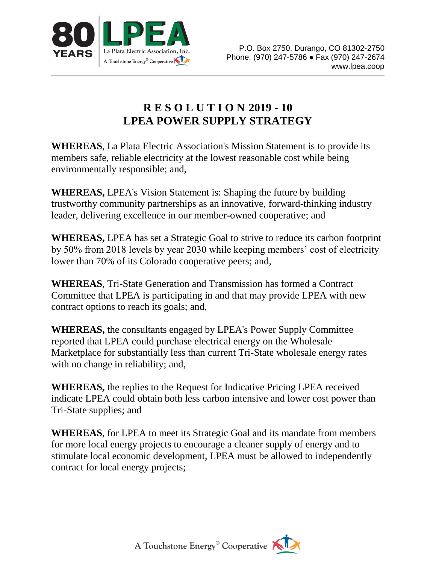

## **R E S O L U T I O N 2019 - 10 LPEA POWER SUPPLY STRATEGY**

**WHEREAS**, La Plata Electric Association's Mission Statement is to provide its members safe, reliable electricity at the lowest reasonable cost while being environmentally responsible; and,

**WHEREAS,** LPEA's Vision Statement is: Shaping the future by building trustworthy community partnerships as an innovative, forward-thinking industry leader, delivering excellence in our member-owned cooperative; and

**WHEREAS,** LPEA has set a Strategic Goal to strive to reduce its carbon footprint by 50% from 2018 levels by year 2030 while keeping members' cost of electricity lower than 70% of its Colorado cooperative peers; and,

**WHEREAS**, Tri-State Generation and Transmission has formed a Contract Committee that LPEA is participating in and that may provide LPEA with new contract options to reach its goals; and,

**WHEREAS,** the consultants engaged by LPEA's Power Supply Committee reported that LPEA could purchase electrical energy on the Wholesale Marketplace for substantially less than current Tri-State wholesale energy rates with no change in reliability; and,

**WHEREAS,** the replies to the Request for Indicative Pricing LPEA received indicate LPEA could obtain both less carbon intensive and lower cost power than Tri-State supplies; and

**WHEREAS**, for LPEA to meet its Strategic Goal and its mandate from members for more local energy projects to encourage a cleaner supply of energy and to stimulate local economic development, LPEA must be allowed to independently contract for local energy projects;